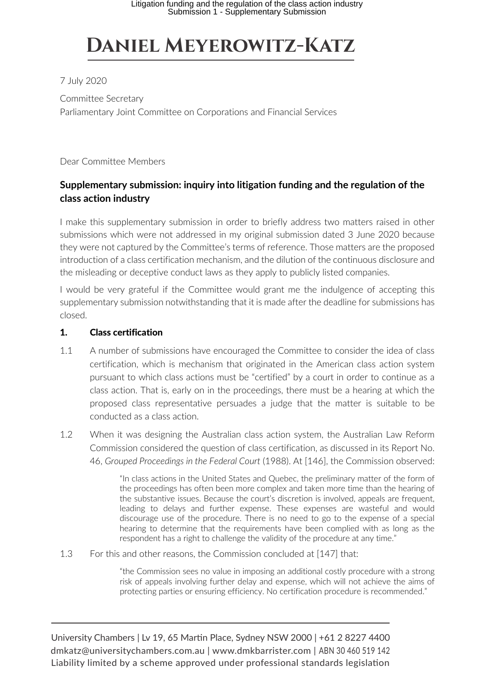# **Daniel Meyerowitz-Katz**

## 7 July 2020

Committee Secretary Parliamentary Joint Committee on Corporations and Financial Services

Dear Committee Members

# **Supplementary submission: inquiry into litigation funding and the regulation of the class action industry**

I make this supplementary submission in order to briefly address two matters raised in other submissions which were not addressed in my original submission dated 3 June 2020 because they were not captured by the Committee's terms of reference. Those matters are the proposed introduction of a class certification mechanism, and the dilution of the continuous disclosure and the misleading or deceptive conduct laws as they apply to publicly listed companies.

I would be very grateful if the Committee would grant me the indulgence of accepting this supplementary submission notwithstanding that it is made after the deadline for submissions has closed.

### 1. Class certification

- 1.1 A number of submissions have encouraged the Committee to consider the idea of class certification, which is mechanism that originated in the American class action system pursuant to which class actions must be "certified" by a court in order to continue as a class action. That is, early on in the proceedings, there must be a hearing at which the proposed class representative persuades a judge that the matter is suitable to be conducted as a class action.
- 1.2 When it was designing the Australian class action system, the Australian Law Reform Commission considered the question of class certification, as discussed in its Report No. 46, *Grouped Proceedings in the Federal Court* (1988). At [146], the Commission observed:

"In class actions in the United States and Quebec, the preliminary matter of the form of the proceedings has often been more complex and taken more time than the hearing of the substantive issues. Because the court's discretion is involved, appeals are frequent, leading to delays and further expense. These expenses are wasteful and would discourage use of the procedure. There is no need to go to the expense of a special hearing to determine that the requirements have been complied with as long as the respondent has a right to challenge the validity of the procedure at any time."

1.3 For this and other reasons, the Commission concluded at [147] that:

"the Commission sees no value in imposing an additional costly procedure with a strong risk of appeals involving further delay and expense, which will not achieve the aims of protecting parties or ensuring efficiency. No certification procedure is recommended."

University Chambers | Lv 19, 65 Martin Place, Sydney NSW 2000 | +61 2 8227 4400 dmkatz@universitychambers.com.au | www.dmkbarrister.com | ABN 30 460 519 142 Liability limited by a scheme approved under professional standards legislation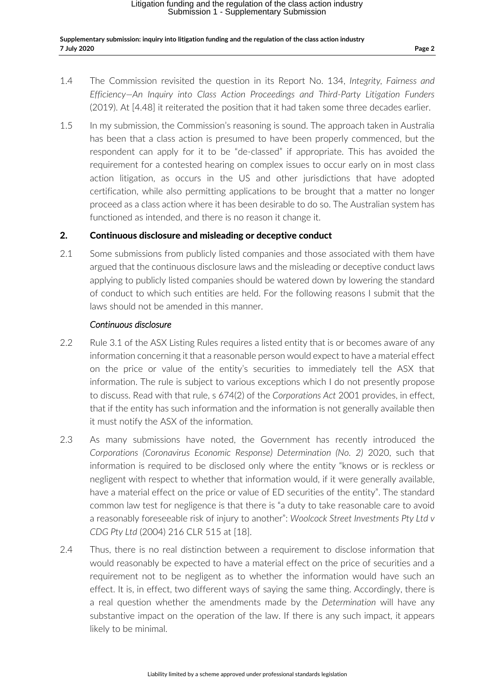- 1.4 The Commission revisited the question in its Report No. 134, *Integrity, Fairness and Efficiency—An Inquiry into Class Action Proceedings and Third-Party Litigation Funders* (2019). At [4.48] it reiterated the position that it had taken some three decades earlier.
- 1.5 In my submission, the Commission's reasoning is sound. The approach taken in Australia has been that a class action is presumed to have been properly commenced, but the respondent can apply for it to be "de-classed" if appropriate. This has avoided the requirement for a contested hearing on complex issues to occur early on in most class action litigation, as occurs in the US and other jurisdictions that have adopted certification, while also permitting applications to be brought that a matter no longer proceed as a class action where it has been desirable to do so. The Australian system has functioned as intended, and there is no reason it change it.

#### 2. Continuous disclosure and misleading or deceptive conduct

2.1 Some submissions from publicly listed companies and those associated with them have argued that the continuous disclosure laws and the misleading or deceptive conduct laws applying to publicly listed companies should be watered down by lowering the standard of conduct to which such entities are held. For the following reasons I submit that the laws should not be amended in this manner.

#### *Continuous disclosure*

- 2.2 Rule 3.1 of the ASX Listing Rules requires a listed entity that is or becomes aware of any information concerning it that a reasonable person would expect to have a material effect on the price or value of the entity's securities to immediately tell the ASX that information. The rule is subject to various exceptions which I do not presently propose to discuss. Read with that rule, s 674(2) of the *Corporations Act* 2001 provides, in effect, that if the entity has such information and the information is not generally available then it must notify the ASX of the information.
- 2.3 As many submissions have noted, the Government has recently introduced the *Corporations (Coronavirus Economic Response) Determination (No. 2)* 2020, such that information is required to be disclosed only where the entity "knows or is reckless or negligent with respect to whether that information would, if it were generally available, have a material effect on the price or value of ED securities of the entity". The standard common law test for negligence is that there is "a duty to take reasonable care to avoid a reasonably foreseeable risk of injury to another": *Woolcock Street Investments Pty Ltd v CDG Pty Ltd* (2004) 216 CLR 515 at [18].
- 2.4 Thus, there is no real distinction between a requirement to disclose information that would reasonably be expected to have a material effect on the price of securities and a requirement not to be negligent as to whether the information would have such an effect. It is, in effect, two different ways of saying the same thing. Accordingly, there is a real question whether the amendments made by the *Determination* will have any substantive impact on the operation of the law. If there is any such impact, it appears likely to be minimal.